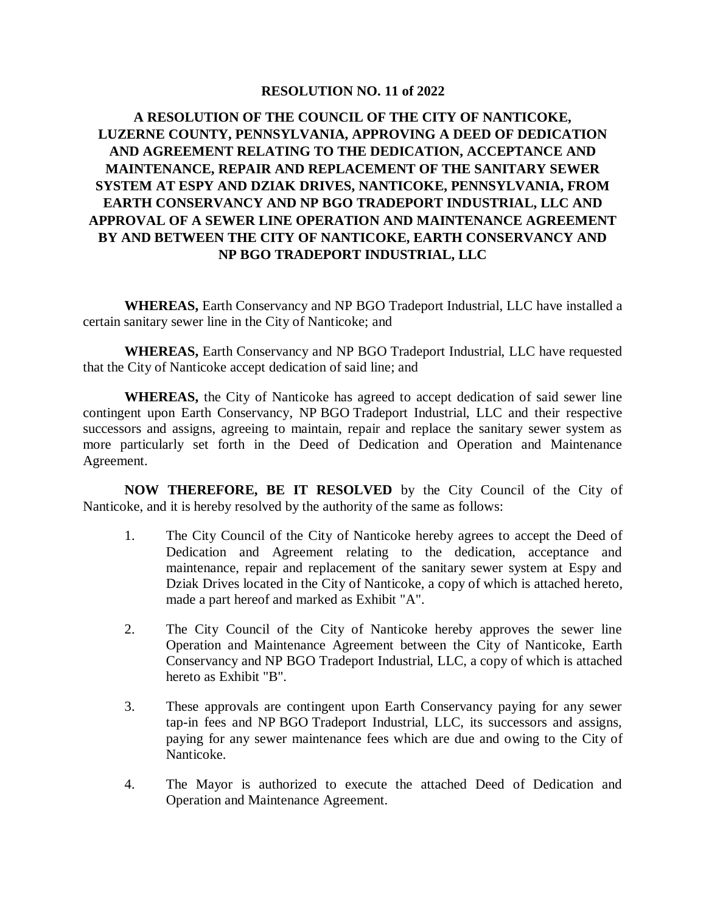## **RESOLUTION NO. 11 of 2022**

## **A RESOLUTION OF THE COUNCIL OF THE CITY OF NANTICOKE, LUZERNE COUNTY, PENNSYLVANIA, APPROVING A DEED OF DEDICATION AND AGREEMENT RELATING TO THE DEDICATION, ACCEPTANCE AND MAINTENANCE, REPAIR AND REPLACEMENT OF THE SANITARY SEWER SYSTEM AT ESPY AND DZIAK DRIVES, NANTICOKE, PENNSYLVANIA, FROM EARTH CONSERVANCY AND NP BGO TRADEPORT INDUSTRIAL, LLC AND APPROVAL OF A SEWER LINE OPERATION AND MAINTENANCE AGREEMENT BY AND BETWEEN THE CITY OF NANTICOKE, EARTH CONSERVANCY AND NP BGO TRADEPORT INDUSTRIAL, LLC**

**WHEREAS,** Earth Conservancy and NP BGO Tradeport Industrial, LLC have installed a certain sanitary sewer line in the City of Nanticoke; and

**WHEREAS,** Earth Conservancy and NP BGO Tradeport Industrial, LLC have requested that the City of Nanticoke accept dedication of said line; and

**WHEREAS,** the City of Nanticoke has agreed to accept dedication of said sewer line contingent upon Earth Conservancy, NP BGO Tradeport Industrial, LLC and their respective successors and assigns, agreeing to maintain, repair and replace the sanitary sewer system as more particularly set forth in the Deed of Dedication and Operation and Maintenance Agreement.

**NOW THEREFORE, BE IT RESOLVED** by the City Council of the City of Nanticoke, and it is hereby resolved by the authority of the same as follows:

- 1. The City Council of the City of Nanticoke hereby agrees to accept the Deed of Dedication and Agreement relating to the dedication, acceptance and maintenance, repair and replacement of the sanitary sewer system at Espy and Dziak Drives located in the City of Nanticoke, a copy of which is attached hereto, made a part hereof and marked as Exhibit "A".
- 2. The City Council of the City of Nanticoke hereby approves the sewer line Operation and Maintenance Agreement between the City of Nanticoke, Earth Conservancy and NP BGO Tradeport Industrial, LLC, a copy of which is attached hereto as Exhibit "B".
- 3. These approvals are contingent upon Earth Conservancy paying for any sewer tap-in fees and NP BGO Tradeport Industrial, LLC, its successors and assigns, paying for any sewer maintenance fees which are due and owing to the City of Nanticoke.
- 4. The Mayor is authorized to execute the attached Deed of Dedication and Operation and Maintenance Agreement.